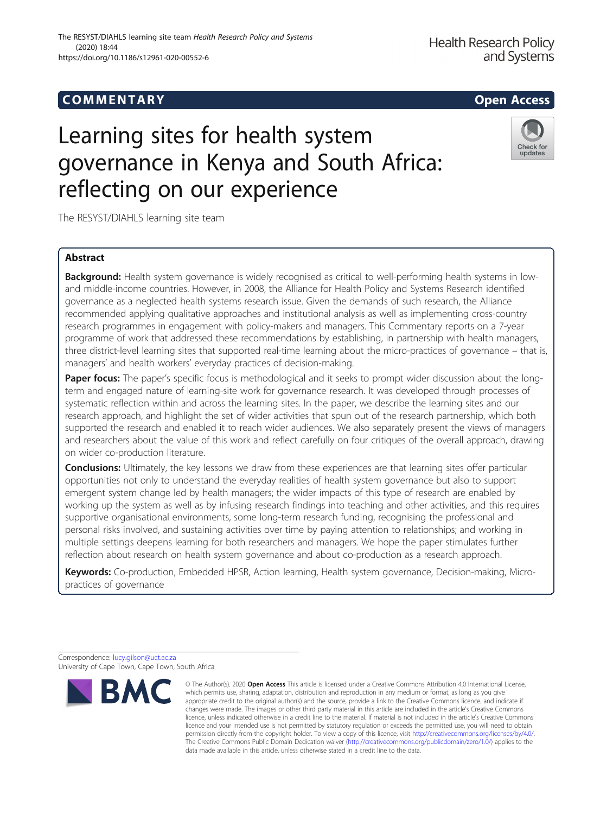# COMM EN TARY Open Access

# **Health Research Policy** and Systems

# Learning sites for health system governance in Kenya and South Africa: reflecting on our experience



The RESYST/DIAHLS learning site team

# Abstract

Background: Health system governance is widely recognised as critical to well-performing health systems in lowand middle-income countries. However, in 2008, the Alliance for Health Policy and Systems Research identified governance as a neglected health systems research issue. Given the demands of such research, the Alliance recommended applying qualitative approaches and institutional analysis as well as implementing cross-country research programmes in engagement with policy-makers and managers. This Commentary reports on a 7-year programme of work that addressed these recommendations by establishing, in partnership with health managers, three district-level learning sites that supported real-time learning about the micro-practices of governance – that is, managers' and health workers' everyday practices of decision-making.

Paper focus: The paper's specific focus is methodological and it seeks to prompt wider discussion about the longterm and engaged nature of learning-site work for governance research. It was developed through processes of systematic reflection within and across the learning sites. In the paper, we describe the learning sites and our research approach, and highlight the set of wider activities that spun out of the research partnership, which both supported the research and enabled it to reach wider audiences. We also separately present the views of managers and researchers about the value of this work and reflect carefully on four critiques of the overall approach, drawing on wider co-production literature.

**Conclusions:** Ultimately, the key lessons we draw from these experiences are that learning sites offer particular opportunities not only to understand the everyday realities of health system governance but also to support emergent system change led by health managers; the wider impacts of this type of research are enabled by working up the system as well as by infusing research findings into teaching and other activities, and this requires supportive organisational environments, some long-term research funding, recognising the professional and personal risks involved, and sustaining activities over time by paying attention to relationships; and working in multiple settings deepens learning for both researchers and managers. We hope the paper stimulates further reflection about research on health system governance and about co-production as a research approach.

Keywords: Co-production, Embedded HPSR, Action learning, Health system governance, Decision-making, Micropractices of governance

Correspondence: [lucy.gilson@uct.ac.za](mailto:lucy.gilson@uct.ac.za) University of Cape Town, Cape Town, South Africa



<sup>©</sup> The Author(s), 2020 **Open Access** This article is licensed under a Creative Commons Attribution 4.0 International License, which permits use, sharing, adaptation, distribution and reproduction in any medium or format, as long as you give appropriate credit to the original author(s) and the source, provide a link to the Creative Commons licence, and indicate if changes were made. The images or other third party material in this article are included in the article's Creative Commons licence, unless indicated otherwise in a credit line to the material. If material is not included in the article's Creative Commons licence and your intended use is not permitted by statutory regulation or exceeds the permitted use, you will need to obtain permission directly from the copyright holder. To view a copy of this licence, visit [http://creativecommons.org/licenses/by/4.0/.](http://creativecommons.org/licenses/by/4.0/) The Creative Commons Public Domain Dedication waiver [\(http://creativecommons.org/publicdomain/zero/1.0/](http://creativecommons.org/publicdomain/zero/1.0/)) applies to the data made available in this article, unless otherwise stated in a credit line to the data.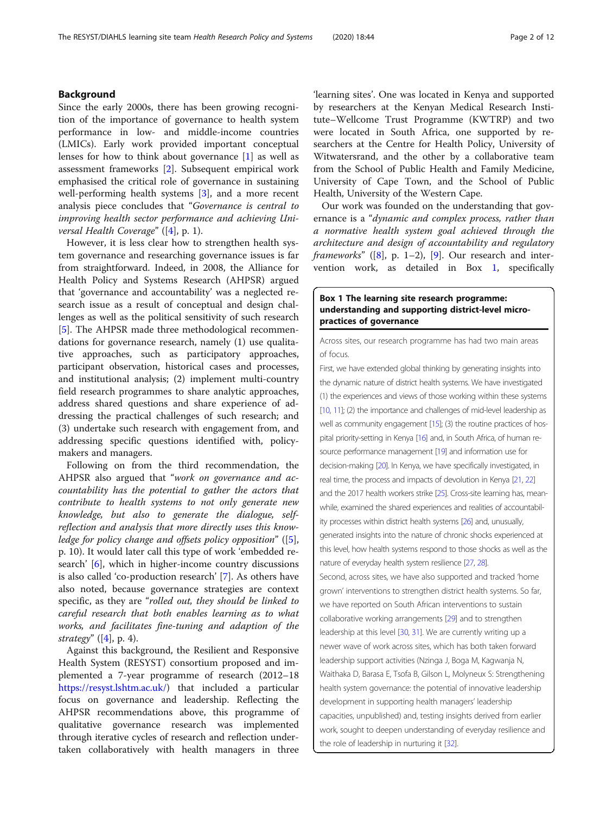# Background

Since the early 2000s, there has been growing recognition of the importance of governance to health system performance in low- and middle-income countries (LMICs). Early work provided important conceptual lenses for how to think about governance [[1](#page-10-0)] as well as assessment frameworks [[2](#page-10-0)]. Subsequent empirical work emphasised the critical role of governance in sustaining well-performing health systems [[3\]](#page-10-0), and a more recent analysis piece concludes that "Governance is central to improving health sector performance and achieving Universal Health Coverage"  $([4], p. 1)$  $([4], p. 1)$  $([4], p. 1)$ .

However, it is less clear how to strengthen health system governance and researching governance issues is far from straightforward. Indeed, in 2008, the Alliance for Health Policy and Systems Research (AHPSR) argued that 'governance and accountability' was a neglected research issue as a result of conceptual and design challenges as well as the political sensitivity of such research [[5\]](#page-10-0). The AHPSR made three methodological recommendations for governance research, namely (1) use qualitative approaches, such as participatory approaches, participant observation, historical cases and processes, and institutional analysis; (2) implement multi-country field research programmes to share analytic approaches, address shared questions and share experience of addressing the practical challenges of such research; and (3) undertake such research with engagement from, and addressing specific questions identified with, policymakers and managers.

Following on from the third recommendation, the AHPSR also argued that "work on governance and accountability has the potential to gather the actors that contribute to health systems to not only generate new knowledge, but also to generate the dialogue, selfreflection and analysis that more directly uses this know-ledge for policy change and offsets policy opposition" ([\[5](#page-10-0)], p. 10). It would later call this type of work 'embedded research' [[6\]](#page-10-0), which in higher-income country discussions is also called 'co-production research' [[7](#page-10-0)]. As others have also noted, because governance strategies are context specific, as they are "rolled out, they should be linked to careful research that both enables learning as to what works, and facilitates fine-tuning and adaption of the strategy"  $([4], p. 4)$  $([4], p. 4)$  $([4], p. 4)$ .

Against this background, the Resilient and Responsive Health System (RESYST) consortium proposed and implemented a 7-year programme of research (2012–18 [https://resyst.lshtm.ac.uk/\)](https://resyst.lshtm.ac.uk/) that included a particular focus on governance and leadership. Reflecting the AHPSR recommendations above, this programme of qualitative governance research was implemented through iterative cycles of research and reflection undertaken collaboratively with health managers in three

'learning sites'. One was located in Kenya and supported by researchers at the Kenyan Medical Research Institute–Wellcome Trust Programme (KWTRP) and two were located in South Africa, one supported by researchers at the Centre for Health Policy, University of Witwatersrand, and the other by a collaborative team from the School of Public Health and Family Medicine, University of Cape Town, and the School of Public Health, University of the Western Cape.

Our work was founded on the understanding that governance is a "dynamic and complex process, rather than a normative health system goal achieved through the architecture and design of accountability and regulatory *frameworks*" ([[8\]](#page-10-0), p. 1–2), [\[9](#page-10-0)]. Our research and intervention work, as detailed in Box 1, specifically

# Box 1 The learning site research programme: understanding and supporting district-level micropractices of governance

Across sites, our research programme has had two main areas of focus.

First, we have extended global thinking by generating insights into the dynamic nature of district health systems. We have investigated (1) the experiences and views of those working within these systems [[10](#page-10-0), [11\]](#page-10-0); (2) the importance and challenges of mid-level leadership as well as community engagement [\[15](#page-11-0)]; (3) the routine practices of hospital priority-setting in Kenya [\[16\]](#page-11-0) and, in South Africa, of human resource performance management [\[19\]](#page-11-0) and information use for decision-making [\[20\]](#page-11-0). In Kenya, we have specifically investigated, in real time, the process and impacts of devolution in Kenya [\[21](#page-11-0), [22](#page-11-0)] and the 2017 health workers strike [[25](#page-11-0)]. Cross-site learning has, meanwhile, examined the shared experiences and realities of accountability processes within district health systems [\[26\]](#page-11-0) and, unusually, generated insights into the nature of chronic shocks experienced at this level, how health systems respond to those shocks as well as the nature of everyday health system resilience [[27](#page-11-0), [28](#page-11-0)]. Second, across sites, we have also supported and tracked 'home grown' interventions to strengthen district health systems. So far, we have reported on South African interventions to sustain collaborative working arrangements [\[29](#page-11-0)] and to strengthen leadership at this level [[30,](#page-11-0) [31](#page-11-0)]. We are currently writing up a newer wave of work across sites, which has both taken forward leadership support activities (Nzinga J, Boga M, Kagwanja N, Waithaka D, Barasa E, Tsofa B, Gilson L, Molyneux S: Strengthening health system governance: the potential of innovative leadership development in supporting health managers' leadership capacities, unpublished) and, testing insights derived from earlier work, sought to deepen understanding of everyday resilience and the role of leadership in nurturing it [\[32\]](#page-11-0).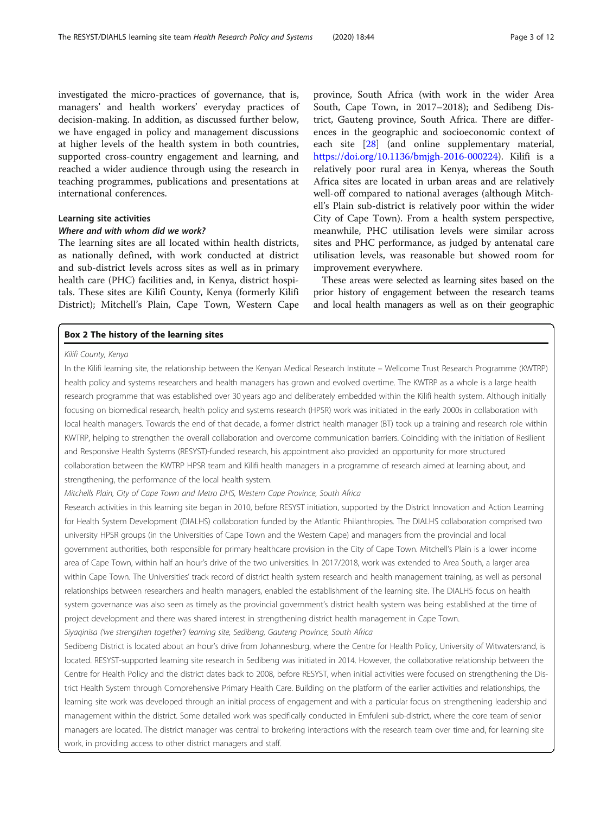<span id="page-2-0"></span>investigated the micro-practices of governance, that is, managers' and health workers' everyday practices of decision-making. In addition, as discussed further below, we have engaged in policy and management discussions at higher levels of the health system in both countries, supported cross-country engagement and learning, and reached a wider audience through using the research in teaching programmes, publications and presentations at international conferences.

# Learning site activities

#### Where and with whom did we work?

The learning sites are all located within health districts, as nationally defined, with work conducted at district and sub-district levels across sites as well as in primary health care (PHC) facilities and, in Kenya, district hospitals. These sites are Kilifi County, Kenya (formerly Kilifi District); Mitchell's Plain, Cape Town, Western Cape

province, South Africa (with work in the wider Area South, Cape Town, in 2017–2018); and Sedibeng District, Gauteng province, South Africa. There are differences in the geographic and socioeconomic context of each site [[28](#page-11-0)] (and online supplementary material, [https://doi.org/10.1136/bmjgh-2016-000224\)](https://doi.org/10.1136/bmjgh-2016-000224). Kilifi is a relatively poor rural area in Kenya, whereas the South Africa sites are located in urban areas and are relatively well-off compared to national averages (although Mitchell's Plain sub-district is relatively poor within the wider City of Cape Town). From a health system perspective, meanwhile, PHC utilisation levels were similar across sites and PHC performance, as judged by antenatal care utilisation levels, was reasonable but showed room for improvement everywhere.

These areas were selected as learning sites based on the prior history of engagement between the research teams and local health managers as well as on their geographic

#### Box 2 The history of the learning sites

#### Kilifi County, Kenya

In the Kilifi learning site, the relationship between the Kenyan Medical Research Institute – Wellcome Trust Research Programme (KWTRP) health policy and systems researchers and health managers has grown and evolved overtime. The KWTRP as a whole is a large health research programme that was established over 30 years ago and deliberately embedded within the Kilifi health system. Although initially focusing on biomedical research, health policy and systems research (HPSR) work was initiated in the early 2000s in collaboration with local health managers. Towards the end of that decade, a former district health manager (BT) took up a training and research role within KWTRP, helping to strengthen the overall collaboration and overcome communication barriers. Coinciding with the initiation of Resilient and Responsive Health Systems (RESYST)-funded research, his appointment also provided an opportunity for more structured collaboration between the KWTRP HPSR team and Kilifi health managers in a programme of research aimed at learning about, and strengthening, the performance of the local health system.

Mitchells Plain, City of Cape Town and Metro DHS, Western Cape Province, South Africa

Research activities in this learning site began in 2010, before RESYST initiation, supported by the District Innovation and Action Learning for Health System Development (DIALHS) collaboration funded by the Atlantic Philanthropies. The DIALHS collaboration comprised two university HPSR groups (in the Universities of Cape Town and the Western Cape) and managers from the provincial and local government authorities, both responsible for primary healthcare provision in the City of Cape Town. Mitchell's Plain is a lower income area of Cape Town, within half an hour's drive of the two universities. In 2017/2018, work was extended to Area South, a larger area within Cape Town. The Universities' track record of district health system research and health management training, as well as personal relationships between researchers and health managers, enabled the establishment of the learning site. The DIALHS focus on health system governance was also seen as timely as the provincial government's district health system was being established at the time of project development and there was shared interest in strengthening district health management in Cape Town.

Siyaqinisa ('we strengthen together') learning site, Sedibeng, Gauteng Province, South Africa

Sedibeng District is located about an hour's drive from Johannesburg, where the Centre for Health Policy, University of Witwatersrand, is located. RESYST-supported learning site research in Sedibeng was initiated in 2014. However, the collaborative relationship between the Centre for Health Policy and the district dates back to 2008, before RESYST, when initial activities were focused on strengthening the District Health System through Comprehensive Primary Health Care. Building on the platform of the earlier activities and relationships, the learning site work was developed through an initial process of engagement and with a particular focus on strengthening leadership and management within the district. Some detailed work was specifically conducted in Emfuleni sub-district, where the core team of senior managers are located. The district manager was central to brokering interactions with the research team over time and, for learning site work, in providing access to other district managers and staff.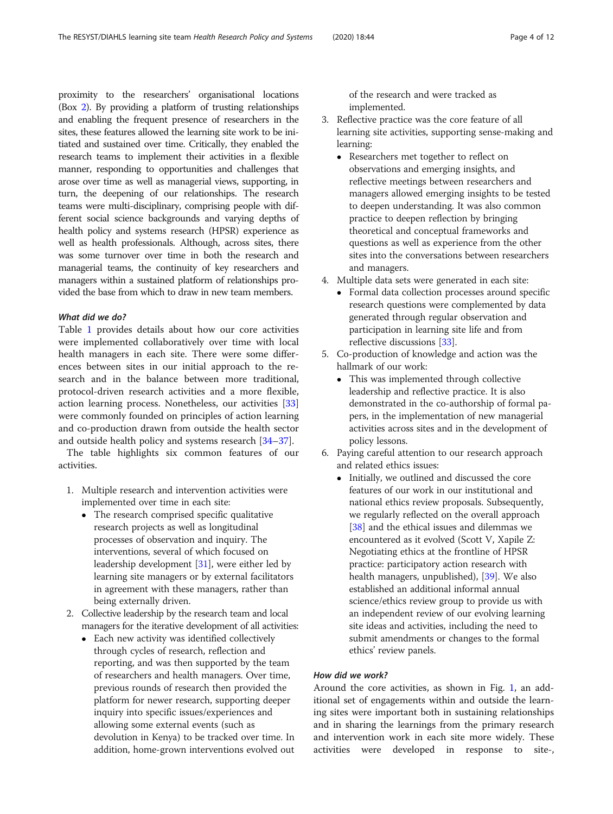proximity to the researchers' organisational locations (Box [2\)](#page-2-0). By providing a platform of trusting relationships and enabling the frequent presence of researchers in the sites, these features allowed the learning site work to be initiated and sustained over time. Critically, they enabled the research teams to implement their activities in a flexible manner, responding to opportunities and challenges that arose over time as well as managerial views, supporting, in turn, the deepening of our relationships. The research teams were multi-disciplinary, comprising people with different social science backgrounds and varying depths of health policy and systems research (HPSR) experience as well as health professionals. Although, across sites, there was some turnover over time in both the research and managerial teams, the continuity of key researchers and managers within a sustained platform of relationships provided the base from which to draw in new team members.

# What did we do?

Table [1](#page-4-0) provides details about how our core activities were implemented collaboratively over time with local health managers in each site. There were some differences between sites in our initial approach to the research and in the balance between more traditional, protocol-driven research activities and a more flexible, action learning process. Nonetheless, our activities [[33](#page-11-0)] were commonly founded on principles of action learning and co-production drawn from outside the health sector and outside health policy and systems research [[34](#page-11-0)–[37\]](#page-11-0).

The table highlights six common features of our activities.

- 1. Multiple research and intervention activities were implemented over time in each site:
	- The research comprised specific qualitative research projects as well as longitudinal processes of observation and inquiry. The interventions, several of which focused on leadership development [[31](#page-11-0)], were either led by learning site managers or by external facilitators in agreement with these managers, rather than being externally driven.
- 2. Collective leadership by the research team and local managers for the iterative development of all activities:
	- Each new activity was identified collectively through cycles of research, reflection and reporting, and was then supported by the team of researchers and health managers. Over time, previous rounds of research then provided the platform for newer research, supporting deeper inquiry into specific issues/experiences and allowing some external events (such as devolution in Kenya) to be tracked over time. In addition, home-grown interventions evolved out

of the research and were tracked as implemented.

- 3. Reflective practice was the core feature of all learning site activities, supporting sense-making and learning:
	- Researchers met together to reflect on observations and emerging insights, and reflective meetings between researchers and managers allowed emerging insights to be tested to deepen understanding. It was also common practice to deepen reflection by bringing theoretical and conceptual frameworks and questions as well as experience from the other sites into the conversations between researchers and managers.
- 4. Multiple data sets were generated in each site:
	- Formal data collection processes around specific research questions were complemented by data generated through regular observation and participation in learning site life and from reflective discussions [\[33\]](#page-11-0).
- 5. Co-production of knowledge and action was the hallmark of our work:
	- This was implemented through collective leadership and reflective practice. It is also demonstrated in the co-authorship of formal papers, in the implementation of new managerial activities across sites and in the development of policy lessons.
- 6. Paying careful attention to our research approach and related ethics issues:
	- Initially, we outlined and discussed the core features of our work in our institutional and national ethics review proposals. Subsequently, we regularly reflected on the overall approach [\[38](#page-11-0)] and the ethical issues and dilemmas we encountered as it evolved (Scott V, Xapile Z: Negotiating ethics at the frontline of HPSR practice: participatory action research with health managers, unpublished), [\[39\]](#page-11-0). We also established an additional informal annual science/ethics review group to provide us with an independent review of our evolving learning site ideas and activities, including the need to submit amendments or changes to the formal ethics' review panels.

# How did we work?

Around the core activities, as shown in Fig. [1,](#page-5-0) an additional set of engagements within and outside the learning sites were important both in sustaining relationships and in sharing the learnings from the primary research and intervention work in each site more widely. These activities were developed in response to site-,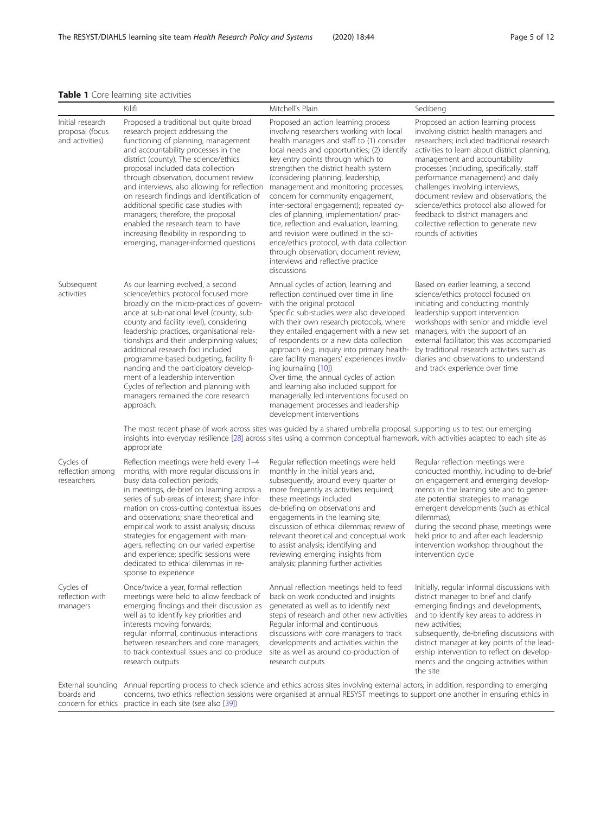# <span id="page-4-0"></span>Table 1 Core learning site activities

|                                                        | Kilifi                                                                                                                                                                                                                                                                                                                                                                                                                                                                                                                                                                            | Mitchell's Plain                                                                                                                                                                                                                                                                                                                                                                                                                                                                                                                                                                                                                                                                                       | Sedibeng                                                                                                                                                                                                                                                                                                                                                                                                                                                                                                                      |  |  |
|--------------------------------------------------------|-----------------------------------------------------------------------------------------------------------------------------------------------------------------------------------------------------------------------------------------------------------------------------------------------------------------------------------------------------------------------------------------------------------------------------------------------------------------------------------------------------------------------------------------------------------------------------------|--------------------------------------------------------------------------------------------------------------------------------------------------------------------------------------------------------------------------------------------------------------------------------------------------------------------------------------------------------------------------------------------------------------------------------------------------------------------------------------------------------------------------------------------------------------------------------------------------------------------------------------------------------------------------------------------------------|-------------------------------------------------------------------------------------------------------------------------------------------------------------------------------------------------------------------------------------------------------------------------------------------------------------------------------------------------------------------------------------------------------------------------------------------------------------------------------------------------------------------------------|--|--|
| Initial research<br>proposal (focus<br>and activities) | Proposed a traditional but quite broad<br>research project addressing the<br>functioning of planning, management<br>and accountability processes in the<br>district (county). The science/ethics<br>proposal included data collection<br>through observation, document review<br>and interviews, also allowing for reflection<br>on research findings and identification of<br>additional specific case studies with<br>managers; therefore, the proposal<br>enabled the research team to have<br>increasing flexibility in responding to<br>emerging, manager-informed questions | Proposed an action learning process<br>involving researchers working with local<br>health managers and staff to (1) consider<br>local needs and opportunities; (2) identify<br>key entry points through which to<br>strengthen the district health system<br>(considering planning, leadership,<br>management and monitoring processes,<br>concern for community engagement,<br>inter-sectoral engagement); repeated cy-<br>cles of planning, implementation/prac-<br>tice, reflection and evaluation, learning,<br>and revision were outlined in the sci-<br>ence/ethics protocol, with data collection<br>through observation, document review,<br>interviews and reflective practice<br>discussions | Proposed an action learning process<br>involving district health managers and<br>researchers; included traditional research<br>activities to learn about district planning,<br>management and accountability<br>processes (including, specifically, staff<br>performance management) and daily<br>challenges involving interviews,<br>document review and observations; the<br>science/ethics protocol also allowed for<br>feedback to district managers and<br>collective reflection to generate new<br>rounds of activities |  |  |
| Subsequent<br>activities                               | As our learning evolved, a second<br>science/ethics protocol focused more<br>broadly on the micro-practices of govern-<br>ance at sub-national level (county, sub-<br>county and facility level), considering<br>leadership practices, organisational rela-<br>tionships and their underpinning values;<br>additional research foci included<br>programme-based budgeting, facility fi-<br>nancing and the participatory develop-<br>ment of a leadership intervention<br>Cycles of reflection and planning with<br>managers remained the core research<br>approach.              | Annual cycles of action, learning and<br>reflection continued over time in line<br>with the original protocol<br>Specific sub-studies were also developed<br>with their own research protocols, where<br>they entailed engagement with a new set<br>of respondents or a new data collection<br>approach (e.g. inquiry into primary health-<br>care facility managers' experiences involv-<br>ing journaling [10])<br>Over time, the annual cycles of action<br>and learning also included support for<br>managerially led interventions focused on<br>management processes and leadership<br>development interventions                                                                                 | Based on earlier learning, a second<br>science/ethics protocol focused on<br>initiating and conducting monthly<br>leadership support intervention<br>workshops with senior and middle level<br>managers, with the support of an<br>external facilitator; this was accompanied<br>by traditional research activities such as<br>diaries and observations to understand<br>and track experience over time                                                                                                                       |  |  |
|                                                        | The most recent phase of work across sites was guided by a shared umbrella proposal, supporting us to test our emerging<br>insights into everyday resilience [28] across sites using a common conceptual framework, with activities adapted to each site as<br>appropriate                                                                                                                                                                                                                                                                                                        |                                                                                                                                                                                                                                                                                                                                                                                                                                                                                                                                                                                                                                                                                                        |                                                                                                                                                                                                                                                                                                                                                                                                                                                                                                                               |  |  |
| Cycles of<br>reflection among<br>researchers           | Reflection meetings were held every 1-4<br>months, with more regular discussions in<br>busy data collection periods;<br>in meetings, de-brief on learning across a<br>series of sub-areas of interest; share infor-<br>mation on cross-cutting contextual issues<br>and observations; share theoretical and<br>empirical work to assist analysis; discuss<br>strategies for engagement with man-<br>agers, reflecting on our varied expertise<br>and experience; specific sessions were<br>dedicated to ethical dilemmas in re-<br>sponse to experience                           | Regular reflection meetings were held<br>monthly in the initial years and,<br>subsequently, around every quarter or<br>more frequently as activities required;<br>these meetings included<br>de-briefing on observations and<br>engagements in the learning site;<br>discussion of ethical dilemmas; review of<br>relevant theoretical and conceptual work<br>to assist analysis; identifying and<br>reviewing emerging insights from<br>analysis; planning further activities                                                                                                                                                                                                                         | Regular reflection meetings were<br>conducted monthly, including to de-brief<br>on engagement and emerging develop-<br>ments in the learning site and to gener-<br>ate potential strategies to manage<br>emergent developments (such as ethical<br>dilemmas);<br>during the second phase, meetings were<br>held prior to and after each leadership<br>intervention workshop throughout the<br>intervention cycle                                                                                                              |  |  |
| Cycles of<br>reflection with<br>managers               | Once/twice a year, formal reflection<br>meetings were held to allow feedback of<br>emerging findings and their discussion as<br>well as to identify key priorities and<br>interests moving forwards;<br>regular informal, continuous interactions<br>between researchers and core managers,<br>to track contextual issues and co-produce<br>research outputs                                                                                                                                                                                                                      | Annual reflection meetings held to feed<br>back on work conducted and insights<br>generated as well as to identify next<br>steps of research and other new activities<br>Regular informal and continuous<br>discussions with core managers to track<br>developments and activities within the<br>site as well as around co-production of<br>research outputs                                                                                                                                                                                                                                                                                                                                           | Initially, regular informal discussions with<br>district manager to brief and clarify<br>emerging findings and developments,<br>and to identify key areas to address in<br>new activities;<br>subsequently, de-briefing discussions with<br>district manager at key points of the lead-<br>ership intervention to reflect on develop-<br>ments and the ongoing activities within<br>the site                                                                                                                                  |  |  |
| boards and                                             | concern for ethics practice in each site (see also [39])                                                                                                                                                                                                                                                                                                                                                                                                                                                                                                                          | External sounding Annual reporting process to check science and ethics across sites involving external actors; in addition, responding to emerging<br>concerns, two ethics reflection sessions were organised at annual RESYST meetings to support one another in ensuring ethics in                                                                                                                                                                                                                                                                                                                                                                                                                   |                                                                                                                                                                                                                                                                                                                                                                                                                                                                                                                               |  |  |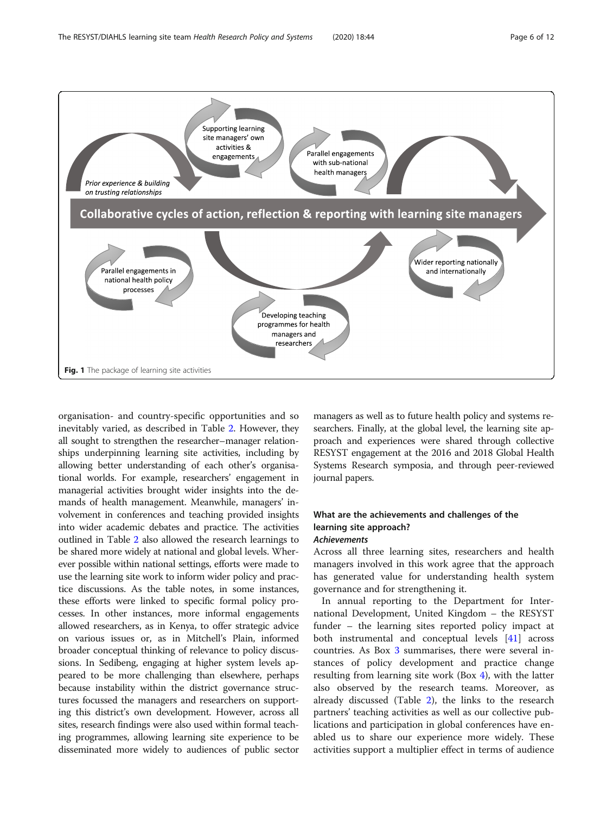<span id="page-5-0"></span>

organisation- and country-specific opportunities and so inevitably varied, as described in Table [2.](#page-6-0) However, they all sought to strengthen the researcher–manager relationships underpinning learning site activities, including by allowing better understanding of each other's organisational worlds. For example, researchers' engagement in managerial activities brought wider insights into the demands of health management. Meanwhile, managers' involvement in conferences and teaching provided insights into wider academic debates and practice. The activities outlined in Table [2](#page-6-0) also allowed the research learnings to be shared more widely at national and global levels. Wherever possible within national settings, efforts were made to use the learning site work to inform wider policy and practice discussions. As the table notes, in some instances, these efforts were linked to specific formal policy processes. In other instances, more informal engagements allowed researchers, as in Kenya, to offer strategic advice on various issues or, as in Mitchell's Plain, informed broader conceptual thinking of relevance to policy discussions. In Sedibeng, engaging at higher system levels appeared to be more challenging than elsewhere, perhaps because instability within the district governance structures focussed the managers and researchers on supporting this district's own development. However, across all sites, research findings were also used within formal teaching programmes, allowing learning site experience to be disseminated more widely to audiences of public sector

managers as well as to future health policy and systems researchers. Finally, at the global level, the learning site approach and experiences were shared through collective RESYST engagement at the 2016 and 2018 Global Health Systems Research symposia, and through peer-reviewed journal papers.

# What are the achievements and challenges of the learning site approach? Achievements

Across all three learning sites, researchers and health managers involved in this work agree that the approach has generated value for understanding health system governance and for strengthening it.

In annual reporting to the Department for International Development, United Kingdom – the RESYST funder – the learning sites reported policy impact at both instrumental and conceptual levels [[41\]](#page-11-0) across countries. As Box [3](#page-7-0) summarises, there were several instances of policy development and practice change resulting from learning site work (Box [4](#page-7-0)), with the latter also observed by the research teams. Moreover, as already discussed (Table [2](#page-6-0)), the links to the research partners' teaching activities as well as our collective publications and participation in global conferences have enabled us to share our experience more widely. These activities support a multiplier effect in terms of audience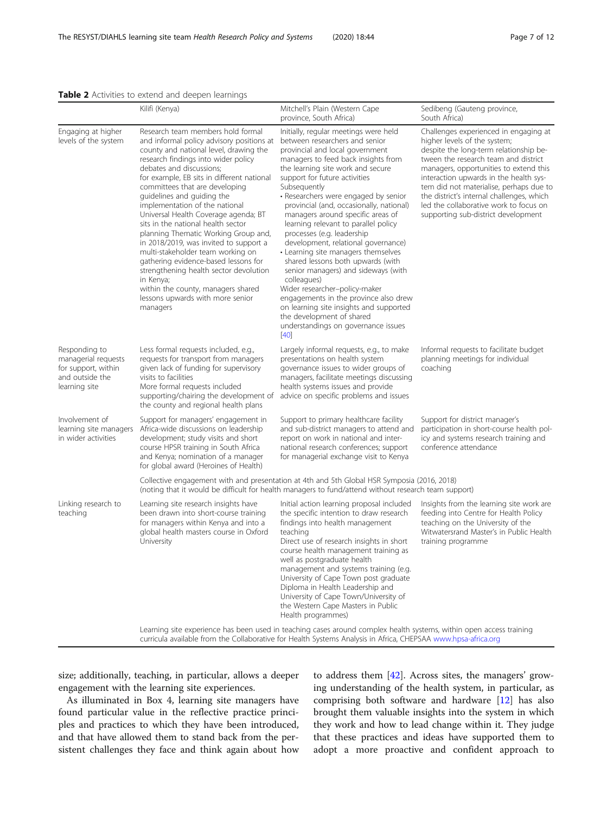### <span id="page-6-0"></span>Table 2 Activities to extend and deepen learnings

|                                                                                                 | Kilifi (Kenya)                                                                                                                                                                                                                                                                                                                                                                                                                                                                                                                                                                                                                                                                                                                        | Mitchell's Plain (Western Cape<br>province, South Africa)                                                                                                                                                                                                                                                                                                                                                                                                                                                                                                                                                                                                                                                                                                                                                          | Sedibeng (Gauteng province,<br>South Africa)                                                                                                                                                                                                                                                                                                                                                                         |  |
|-------------------------------------------------------------------------------------------------|---------------------------------------------------------------------------------------------------------------------------------------------------------------------------------------------------------------------------------------------------------------------------------------------------------------------------------------------------------------------------------------------------------------------------------------------------------------------------------------------------------------------------------------------------------------------------------------------------------------------------------------------------------------------------------------------------------------------------------------|--------------------------------------------------------------------------------------------------------------------------------------------------------------------------------------------------------------------------------------------------------------------------------------------------------------------------------------------------------------------------------------------------------------------------------------------------------------------------------------------------------------------------------------------------------------------------------------------------------------------------------------------------------------------------------------------------------------------------------------------------------------------------------------------------------------------|----------------------------------------------------------------------------------------------------------------------------------------------------------------------------------------------------------------------------------------------------------------------------------------------------------------------------------------------------------------------------------------------------------------------|--|
| Engaging at higher<br>levels of the system                                                      | Research team members hold formal<br>and informal policy advisory positions at<br>county and national level, drawing the<br>research findings into wider policy<br>debates and discussions;<br>for example, EB sits in different national<br>committees that are developing<br>guidelines and guiding the<br>implementation of the national<br>Universal Health Coverage agenda; BT<br>sits in the national health sector<br>planning Thematic Working Group and,<br>in 2018/2019, was invited to support a<br>multi-stakeholder team working on<br>gathering evidence-based lessons for<br>strengthening health sector devolution<br>in Kenya;<br>within the county, managers shared<br>lessons upwards with more senior<br>managers | Initially, regular meetings were held<br>between researchers and senior<br>provincial and local government<br>managers to feed back insights from<br>the learning site work and secure<br>support for future activities<br>Subsequently<br>• Researchers were engaged by senior<br>provincial (and, occasionally, national)<br>managers around specific areas of<br>learning relevant to parallel policy<br>processes (e.g. leadership<br>development, relational governance)<br>• Learning site managers themselves<br>shared lessons both upwards (with<br>senior managers) and sideways (with<br>colleagues)<br>Wider researcher-policy-maker<br>engagements in the province also drew<br>on learning site insights and supported<br>the development of shared<br>understandings on governance issues<br>$[40]$ | Challenges experienced in engaging at<br>higher levels of the system;<br>despite the long-term relationship be-<br>tween the research team and district<br>managers, opportunities to extend this<br>interaction upwards in the health sys-<br>tem did not materialise, perhaps due to<br>the district's internal challenges, which<br>led the collaborative work to focus on<br>supporting sub-district development |  |
| Responding to<br>managerial requests<br>for support, within<br>and outside the<br>learning site | Less formal requests included, e.g.,<br>requests for transport from managers<br>given lack of funding for supervisory<br>visits to facilities<br>More formal requests included<br>supporting/chairing the development of<br>the county and regional health plans                                                                                                                                                                                                                                                                                                                                                                                                                                                                      | Largely informal requests, e.g., to make<br>presentations on health system<br>governance issues to wider groups of<br>managers, facilitate meetings discussing<br>health systems issues and provide<br>advice on specific problems and issues                                                                                                                                                                                                                                                                                                                                                                                                                                                                                                                                                                      | Informal requests to facilitate budget<br>planning meetings for individual<br>coaching                                                                                                                                                                                                                                                                                                                               |  |
| Involvement of<br>learning site managers<br>in wider activities                                 | Support for managers' engagement in<br>Africa-wide discussions on leadership<br>development; study visits and short<br>course HPSR training in South Africa<br>and Kenya; nomination of a manager<br>for global award (Heroines of Health)                                                                                                                                                                                                                                                                                                                                                                                                                                                                                            | Support to primary healthcare facility<br>and sub-district managers to attend and<br>report on work in national and inter-<br>national research conferences; support<br>for managerial exchange visit to Kenya                                                                                                                                                                                                                                                                                                                                                                                                                                                                                                                                                                                                     | Support for district manager's<br>participation in short-course health pol-<br>icy and systems research training and<br>conference attendance                                                                                                                                                                                                                                                                        |  |
|                                                                                                 | Collective engagement with and presentation at 4th and 5th Global HSR Symposia (2016, 2018)<br>(noting that it would be difficult for health managers to fund/attend without research team support)                                                                                                                                                                                                                                                                                                                                                                                                                                                                                                                                   |                                                                                                                                                                                                                                                                                                                                                                                                                                                                                                                                                                                                                                                                                                                                                                                                                    |                                                                                                                                                                                                                                                                                                                                                                                                                      |  |
| Linking research to<br>teaching                                                                 | Learning site research insights have<br>been drawn into short-course training<br>for managers within Kenya and into a<br>global health masters course in Oxford<br>University                                                                                                                                                                                                                                                                                                                                                                                                                                                                                                                                                         | Initial action learning proposal included<br>the specific intention to draw research<br>findings into health management<br>teaching<br>Direct use of research insights in short<br>course health management training as<br>well as postgraduate health<br>management and systems training (e.g.<br>University of Cape Town post graduate<br>Diploma in Health Leadership and<br>University of Cape Town/University of<br>the Western Cape Masters in Public<br>Health programmes)                                                                                                                                                                                                                                                                                                                                  | Insights from the learning site work are<br>feeding into Centre for Health Policy<br>teaching on the University of the<br>Witwatersrand Master's in Public Health<br>training programme                                                                                                                                                                                                                              |  |
|                                                                                                 | Learning site experience has been used in teaching cases around complex health systems, within open access training<br>curricula available from the Collaborative for Health Systems Analysis in Africa, CHEPSAA www.hpsa-africa.org                                                                                                                                                                                                                                                                                                                                                                                                                                                                                                  |                                                                                                                                                                                                                                                                                                                                                                                                                                                                                                                                                                                                                                                                                                                                                                                                                    |                                                                                                                                                                                                                                                                                                                                                                                                                      |  |

size; additionally, teaching, in particular, allows a deeper engagement with the learning site experiences.

As illuminated in Box 4, learning site managers have found particular value in the reflective practice principles and practices to which they have been introduced, and that have allowed them to stand back from the persistent challenges they face and think again about how

to address them [\[42\]](#page-11-0). Across sites, the managers' growing understanding of the health system, in particular, as comprising both software and hardware [[12\]](#page-10-0) has also brought them valuable insights into the system in which they work and how to lead change within it. They judge that these practices and ideas have supported them to adopt a more proactive and confident approach to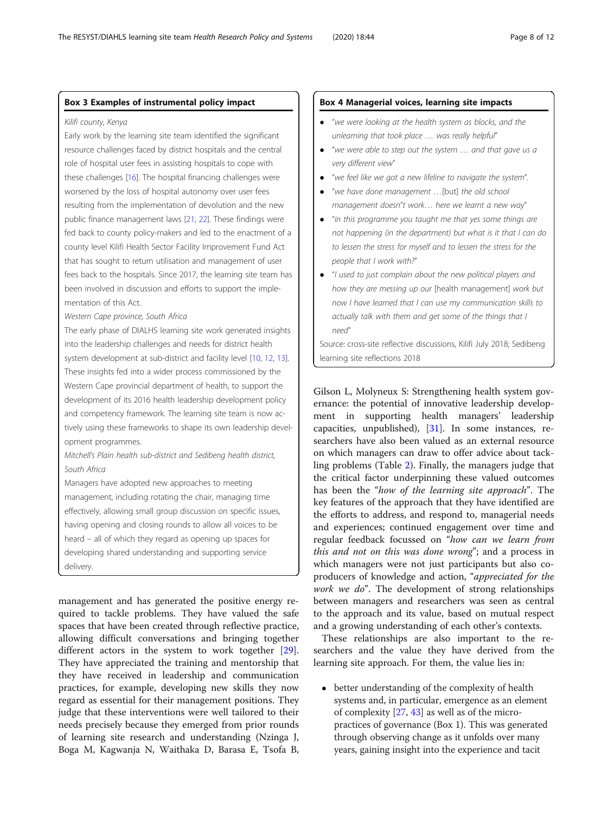#### <span id="page-7-0"></span>Box 3 Examples of instrumental policy impact

#### Kilifi county, Kenya

Early work by the learning site team identified the significant resource challenges faced by district hospitals and the central role of hospital user fees in assisting hospitals to cope with these challenges [\[16](#page-11-0)]. The hospital financing challenges were worsened by the loss of hospital autonomy over user fees resulting from the implementation of devolution and the new public finance management laws [\[21](#page-11-0), [22](#page-11-0)]. These findings were fed back to county policy-makers and led to the enactment of a county level Kilifi Health Sector Facility Improvement Fund Act that has sought to return utilisation and management of user fees back to the hospitals. Since 2017, the learning site team has been involved in discussion and efforts to support the implementation of this Act.

#### Western Cape province, South Africa

The early phase of DIALHS learning site work generated insights into the leadership challenges and needs for district health system development at sub-district and facility level [[10](#page-10-0), [12](#page-10-0), [13](#page-10-0)]. These insights fed into a wider process commissioned by the Western Cape provincial department of health, to support the development of its 2016 health leadership development policy and competency framework. The learning site team is now actively using these frameworks to shape its own leadership development programmes.

Mitchell's Plain health sub-district and Sedibeng health district, South Africa

Managers have adopted new approaches to meeting management, including rotating the chair, managing time effectively, allowing small group discussion on specific issues, having opening and closing rounds to allow all voices to be heard – all of which they regard as opening up spaces for developing shared understanding and supporting service delivery.

management and has generated the positive energy required to tackle problems. They have valued the safe spaces that have been created through reflective practice, allowing difficult conversations and bringing together different actors in the system to work together [\[29](#page-11-0)]. They have appreciated the training and mentorship that they have received in leadership and communication practices, for example, developing new skills they now regard as essential for their management positions. They judge that these interventions were well tailored to their needs precisely because they emerged from prior rounds of learning site research and understanding (Nzinga J, Boga M, Kagwanja N, Waithaka D, Barasa E, Tsofa B,

# Box 4 Managerial voices, learning site impacts

- "we were looking at the health system as blocks, and the unlearning that took place … was really helpful"
- "we were able to step out the system … and that gave us a very different view"
- "we feel like we got a new lifeline to navigate the system".
- "we have done management …[but] the old school management doesn"t work… here we learnt a new way"
- "in this programme you taught me that yes some things are not happening (in the department) but what is it that I can do to lessen the stress for myself and to lessen the stress for the people that I work with?"
- "I used to just complain about the new political players and how they are messing up our [health management] work but now I have learned that I can use my communication skills to actually talk with them and get some of the things that I need"

Source: cross-site reflective discussions, Kilifi July 2018; Sedibeng learning site reflections 2018

Gilson L, Molyneux S: Strengthening health system governance: the potential of innovative leadership development in supporting health managers' leadership capacities, unpublished), [\[31](#page-11-0)]. In some instances, researchers have also been valued as an external resource on which managers can draw to offer advice about tackling problems (Table [2](#page-6-0)). Finally, the managers judge that the critical factor underpinning these valued outcomes has been the "how of the learning site approach". The key features of the approach that they have identified are the efforts to address, and respond to, managerial needs and experiences; continued engagement over time and regular feedback focussed on "how can we learn from this and not on this was done wrong"; and a process in which managers were not just participants but also coproducers of knowledge and action, "appreciated for the work we do". The development of strong relationships between managers and researchers was seen as central to the approach and its value, based on mutual respect and a growing understanding of each other's contexts.

These relationships are also important to the researchers and the value they have derived from the learning site approach. For them, the value lies in:

• better understanding of the complexity of health systems and, in particular, emergence as an element of complexity [[27](#page-11-0), [43\]](#page-11-0) as well as of the micropractices of governance (Box 1). This was generated through observing change as it unfolds over many years, gaining insight into the experience and tacit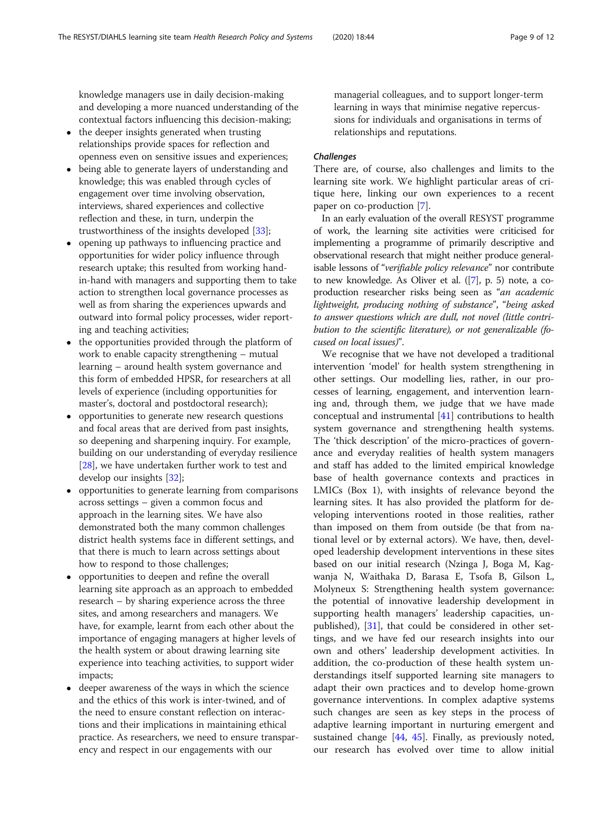knowledge managers use in daily decision-making and developing a more nuanced understanding of the contextual factors influencing this decision-making;

- the deeper insights generated when trusting relationships provide spaces for reflection and openness even on sensitive issues and experiences;
- being able to generate layers of understanding and knowledge; this was enabled through cycles of engagement over time involving observation, interviews, shared experiences and collective reflection and these, in turn, underpin the trustworthiness of the insights developed [\[33\]](#page-11-0);
- opening up pathways to influencing practice and opportunities for wider policy influence through research uptake; this resulted from working handin-hand with managers and supporting them to take action to strengthen local governance processes as well as from sharing the experiences upwards and outward into formal policy processes, wider reporting and teaching activities;
- the opportunities provided through the platform of work to enable capacity strengthening – mutual learning – around health system governance and this form of embedded HPSR, for researchers at all levels of experience (including opportunities for master's, doctoral and postdoctoral research);
- opportunities to generate new research questions and focal areas that are derived from past insights, so deepening and sharpening inquiry. For example, building on our understanding of everyday resilience [[28](#page-11-0)], we have undertaken further work to test and develop our insights [\[32\]](#page-11-0);
- opportunities to generate learning from comparisons across settings – given a common focus and approach in the learning sites. We have also demonstrated both the many common challenges district health systems face in different settings, and that there is much to learn across settings about how to respond to those challenges;
- opportunities to deepen and refine the overall learning site approach as an approach to embedded research – by sharing experience across the three sites, and among researchers and managers. We have, for example, learnt from each other about the importance of engaging managers at higher levels of the health system or about drawing learning site experience into teaching activities, to support wider impacts;
- deeper awareness of the ways in which the science and the ethics of this work is inter-twined, and of the need to ensure constant reflection on interactions and their implications in maintaining ethical practice. As researchers, we need to ensure transparency and respect in our engagements with our

managerial colleagues, and to support longer-term learning in ways that minimise negative repercussions for individuals and organisations in terms of relationships and reputations.

# **Challenges**

There are, of course, also challenges and limits to the learning site work. We highlight particular areas of critique here, linking our own experiences to a recent paper on co-production [\[7](#page-10-0)].

In an early evaluation of the overall RESYST programme of work, the learning site activities were criticised for implementing a programme of primarily descriptive and observational research that might neither produce generalisable lessons of "verifiable policy relevance" nor contribute to new knowledge. As Oliver et al. ([[7](#page-10-0)], p. 5) note, a coproduction researcher risks being seen as "an academic lightweight, producing nothing of substance", "being asked to answer questions which are dull, not novel (little contribution to the scientific literature), or not generalizable (focused on local issues)".

We recognise that we have not developed a traditional intervention 'model' for health system strengthening in other settings. Our modelling lies, rather, in our processes of learning, engagement, and intervention learning and, through them, we judge that we have made conceptual and instrumental [\[41](#page-11-0)] contributions to health system governance and strengthening health systems. The 'thick description' of the micro-practices of governance and everyday realities of health system managers and staff has added to the limited empirical knowledge base of health governance contexts and practices in LMICs (Box 1), with insights of relevance beyond the learning sites. It has also provided the platform for developing interventions rooted in those realities, rather than imposed on them from outside (be that from national level or by external actors). We have, then, developed leadership development interventions in these sites based on our initial research (Nzinga J, Boga M, Kagwanja N, Waithaka D, Barasa E, Tsofa B, Gilson L, Molyneux S: Strengthening health system governance: the potential of innovative leadership development in supporting health managers' leadership capacities, un-published), [[31\]](#page-11-0), that could be considered in other settings, and we have fed our research insights into our own and others' leadership development activities. In addition, the co-production of these health system understandings itself supported learning site managers to adapt their own practices and to develop home-grown governance interventions. In complex adaptive systems such changes are seen as key steps in the process of adaptive learning important in nurturing emergent and sustained change  $[44, 45]$  $[44, 45]$  $[44, 45]$  $[44, 45]$  $[44, 45]$ . Finally, as previously noted, our research has evolved over time to allow initial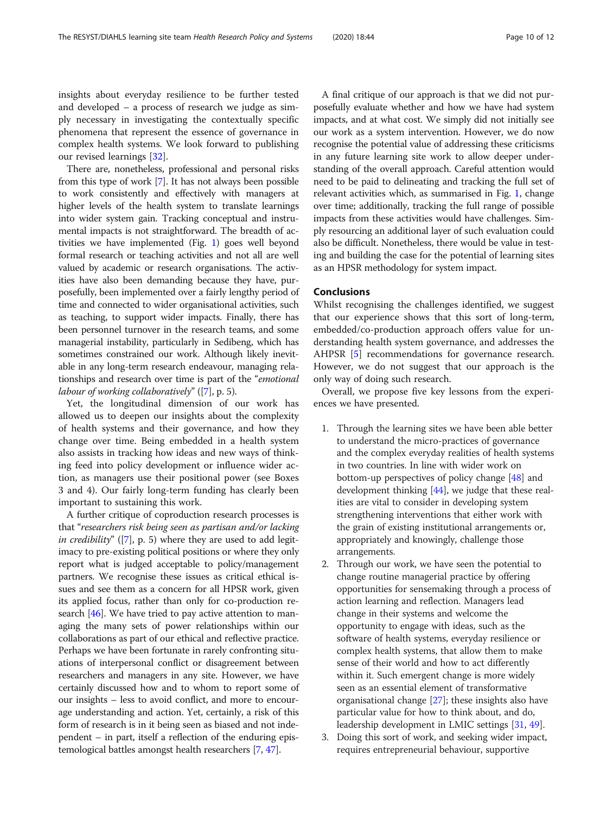insights about everyday resilience to be further tested and developed – a process of research we judge as simply necessary in investigating the contextually specific phenomena that represent the essence of governance in complex health systems. We look forward to publishing our revised learnings [\[32](#page-11-0)].

There are, nonetheless, professional and personal risks from this type of work [\[7](#page-10-0)]. It has not always been possible to work consistently and effectively with managers at higher levels of the health system to translate learnings into wider system gain. Tracking conceptual and instrumental impacts is not straightforward. The breadth of activities we have implemented (Fig. [1](#page-5-0)) goes well beyond formal research or teaching activities and not all are well valued by academic or research organisations. The activities have also been demanding because they have, purposefully, been implemented over a fairly lengthy period of time and connected to wider organisational activities, such as teaching, to support wider impacts. Finally, there has been personnel turnover in the research teams, and some managerial instability, particularly in Sedibeng, which has sometimes constrained our work. Although likely inevitable in any long-term research endeavour, managing relationships and research over time is part of the "emotional labour of working collaboratively" ([\[7\]](#page-10-0), p. 5).

Yet, the longitudinal dimension of our work has allowed us to deepen our insights about the complexity of health systems and their governance, and how they change over time. Being embedded in a health system also assists in tracking how ideas and new ways of thinking feed into policy development or influence wider action, as managers use their positional power (see Boxes 3 and 4). Our fairly long-term funding has clearly been important to sustaining this work.

A further critique of coproduction research processes is that "researchers risk being seen as partisan and/or lacking *in credibility*" ( $[7]$  $[7]$  $[7]$ , p. 5) where they are used to add legitimacy to pre-existing political positions or where they only report what is judged acceptable to policy/management partners. We recognise these issues as critical ethical issues and see them as a concern for all HPSR work, given its applied focus, rather than only for co-production re-search [\[46\]](#page-11-0). We have tried to pay active attention to managing the many sets of power relationships within our collaborations as part of our ethical and reflective practice. Perhaps we have been fortunate in rarely confronting situations of interpersonal conflict or disagreement between researchers and managers in any site. However, we have certainly discussed how and to whom to report some of our insights – less to avoid conflict, and more to encourage understanding and action. Yet, certainly, a risk of this form of research is in it being seen as biased and not independent – in part, itself a reflection of the enduring epistemological battles amongst health researchers [[7,](#page-10-0) [47\]](#page-11-0).

A final critique of our approach is that we did not purposefully evaluate whether and how we have had system impacts, and at what cost. We simply did not initially see our work as a system intervention. However, we do now recognise the potential value of addressing these criticisms in any future learning site work to allow deeper understanding of the overall approach. Careful attention would need to be paid to delineating and tracking the full set of relevant activities which, as summarised in Fig. [1,](#page-5-0) change over time; additionally, tracking the full range of possible impacts from these activities would have challenges. Simply resourcing an additional layer of such evaluation could also be difficult. Nonetheless, there would be value in testing and building the case for the potential of learning sites as an HPSR methodology for system impact.

# Conclusions

Whilst recognising the challenges identified, we suggest that our experience shows that this sort of long-term, embedded/co-production approach offers value for understanding health system governance, and addresses the AHPSR [[5\]](#page-10-0) recommendations for governance research. However, we do not suggest that our approach is the only way of doing such research.

Overall, we propose five key lessons from the experiences we have presented.

- 1. Through the learning sites we have been able better to understand the micro-practices of governance and the complex everyday realities of health systems in two countries. In line with wider work on bottom-up perspectives of policy change [\[48\]](#page-11-0) and development thinking [\[44\]](#page-11-0), we judge that these realities are vital to consider in developing system strengthening interventions that either work with the grain of existing institutional arrangements or, appropriately and knowingly, challenge those arrangements.
- 2. Through our work, we have seen the potential to change routine managerial practice by offering opportunities for sensemaking through a process of action learning and reflection. Managers lead change in their systems and welcome the opportunity to engage with ideas, such as the software of health systems, everyday resilience or complex health systems, that allow them to make sense of their world and how to act differently within it. Such emergent change is more widely seen as an essential element of transformative organisational change [[27](#page-11-0)]; these insights also have particular value for how to think about, and do, leadership development in LMIC settings [\[31,](#page-11-0) [49](#page-11-0)].
- 3. Doing this sort of work, and seeking wider impact, requires entrepreneurial behaviour, supportive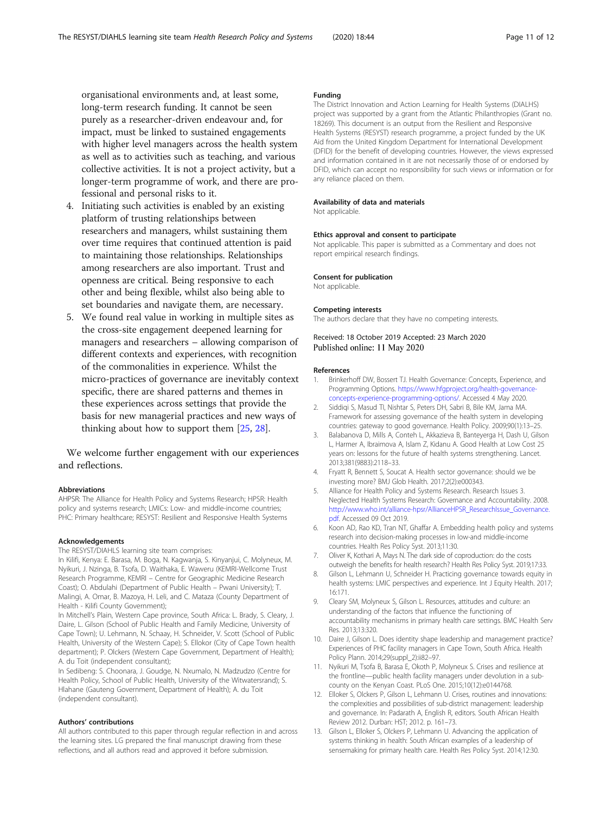<span id="page-10-0"></span>organisational environments and, at least some, long-term research funding. It cannot be seen purely as a researcher-driven endeavour and, for impact, must be linked to sustained engagements with higher level managers across the health system as well as to activities such as teaching, and various collective activities. It is not a project activity, but a longer-term programme of work, and there are professional and personal risks to it.

- 4. Initiating such activities is enabled by an existing platform of trusting relationships between researchers and managers, whilst sustaining them over time requires that continued attention is paid to maintaining those relationships. Relationships among researchers are also important. Trust and openness are critical. Being responsive to each other and being flexible, whilst also being able to set boundaries and navigate them, are necessary.
- 5. We found real value in working in multiple sites as the cross-site engagement deepened learning for managers and researchers – allowing comparison of different contexts and experiences, with recognition of the commonalities in experience. Whilst the micro-practices of governance are inevitably context specific, there are shared patterns and themes in these experiences across settings that provide the basis for new managerial practices and new ways of thinking about how to support them [\[25,](#page-11-0) [28\]](#page-11-0).

We welcome further engagement with our experiences and reflections.

#### Abbreviations

AHPSR: The Alliance for Health Policy and Systems Research; HPSR: Health policy and systems research; LMICs: Low- and middle-income countries; PHC: Primary healthcare; RESYST: Resilient and Responsive Health Systems

#### Acknowledgements

The RESYST/DIAHLS learning site team comprises:

In Kilifi, Kenya: E. Barasa, M. Boga, N. Kagwanja, S. Kinyanjui, C. Molyneux, M. Nyikuri, J. Nzinga, B. Tsofa, D. Waithaka, E. Waweru (KEMRI-Wellcome Trust Research Programme, KEMRI – Centre for Geographic Medicine Research Coast); O. Abdulahi (Department of Public Health – Pwani University); T. Malingi, A. Omar, B. Mazoya, H. Leli, and C. Mataza (County Department of Health - Kilifi County Government);

In Mitchell's Plain, Western Cape province, South Africa: L. Brady, S. Cleary, J. Daire, L. Gilson (School of Public Health and Family Medicine, University of Cape Town); U. Lehmann, N. Schaay, H. Schneider, V. Scott (School of Public Health, University of the Western Cape); S. Ellokor (City of Cape Town health department); P. Olckers (Western Cape Government, Department of Health); A. du Toit (independent consultant);

In Sedibeng: S. Choonara, J. Goudge, N. Nxumalo, N. Madzudzo (Centre for Health Policy, School of Public Health, University of the Witwatersrand); S. Hlahane (Gauteng Government, Department of Health); A. du Toit (independent consultant).

#### Authors' contributions

All authors contributed to this paper through regular reflection in and across the learning sites. LG prepared the final manuscript drawing from these reflections, and all authors read and approved it before submission.

#### Funding

The District Innovation and Action Learning for Health Systems (DIALHS) project was supported by a grant from the Atlantic Philanthropies (Grant no. 18269). This document is an output from the Resilient and Responsive Health Systems (RESYST) research programme, a project funded by the UK Aid from the United Kingdom Department for International Development (DFID) for the benefit of developing countries. However, the views expressed and information contained in it are not necessarily those of or endorsed by DFID, which can accept no responsibility for such views or information or for any reliance placed on them.

#### Availability of data and materials

Not applicable.

#### Ethics approval and consent to participate

Not applicable. This paper is submitted as a Commentary and does not report empirical research findings.

#### Consent for publication

Not applicable.

#### Competing interests

The authors declare that they have no competing interests.

Received: 18 October 2019 Accepted: 23 March 2020 Published online: 11 May 2020

#### References

- Brinkerhoff DW, Bossert TJ. Health Governance: Concepts, Experience, and Programming Options. [https://www.hfgproject.org/health-governance](https://www.hfgproject.org/health-governance-concepts-experience-programming-options/)[concepts-experience-programming-options/](https://www.hfgproject.org/health-governance-concepts-experience-programming-options/). Accessed 4 May 2020.
- 2. Siddiqi S, Masud TI, Nishtar S, Peters DH, Sabri B, Bile KM, Jama MA. Framework for assessing governance of the health system in developing countries: gateway to good governance. Health Policy. 2009;90(1):13–25.
- 3. Balabanova D, Mills A, Conteh L, Akkazieva B, Banteyerga H, Dash U, Gilson L, Harmer A, Ibraimova A, Islam Z, Kidanu A. Good Health at Low Cost 25 years on: lessons for the future of health systems strengthening. Lancet. 2013;381(9883):2118–33.
- 4. Fryatt R, Bennett S, Soucat A. Health sector governance: should we be investing more? BMJ Glob Health. 2017;2(2):e000343.
- 5. Alliance for Health Policy and Systems Research. Research Issues 3. Neglected Health Systems Research: Governance and Accountability. 2008. [http://www.who.int/alliance-hpsr/AllianceHPSR\\_ResearchIssue\\_Governance.](http://www.who.int/alliance-hpsr/AllianceHPSR_ResearchIssue_Governance.pdf) [pdf](http://www.who.int/alliance-hpsr/AllianceHPSR_ResearchIssue_Governance.pdf). Accessed 09 Oct 2019.
- 6. Koon AD, Rao KD, Tran NT, Ghaffar A. Embedding health policy and systems research into decision-making processes in low-and middle-income countries. Health Res Policy Syst. 2013;11:30.
- 7. Oliver K, Kothari A, Mays N. The dark side of coproduction: do the costs outweigh the benefits for health research? Health Res Policy Syst. 2019;17:33.
- 8. Gilson L, Lehmann U, Schneider H. Practicing governance towards equity in health systems: LMIC perspectives and experience. Int J Equity Health. 2017; 16:171.
- 9. Cleary SM, Molyneux S, Gilson L. Resources, attitudes and culture: an understanding of the factors that influence the functioning of accountability mechanisms in primary health care settings. BMC Health Serv Res. 2013;13:320.
- 10. Daire J, Gilson L. Does identity shape leadership and management practice? Experiences of PHC facility managers in Cape Town, South Africa. Health Policy Plann. 2014;29(suppl\_2):ii82–97.
- 11. Nyikuri M, Tsofa B, Barasa E, Okoth P, Molyneux S. Crises and resilience at the frontline—public health facility managers under devolution in a subcounty on the Kenyan Coast. PLoS One. 2015;10(12):e0144768.
- 12. Elloker S, Olckers P, Gilson L, Lehmann U. Crises, routines and innovations: the complexities and possibilities of sub-district management: leadership and governance. In: Padarath A, English R, editors. South African Health Review 2012. Durban: HST; 2012. p. 161–73.
- 13. Gilson L, Elloker S, Olckers P, Lehmann U. Advancing the application of systems thinking in health: South African examples of a leadership of sensemaking for primary health care. Health Res Policy Syst. 2014;12:30.